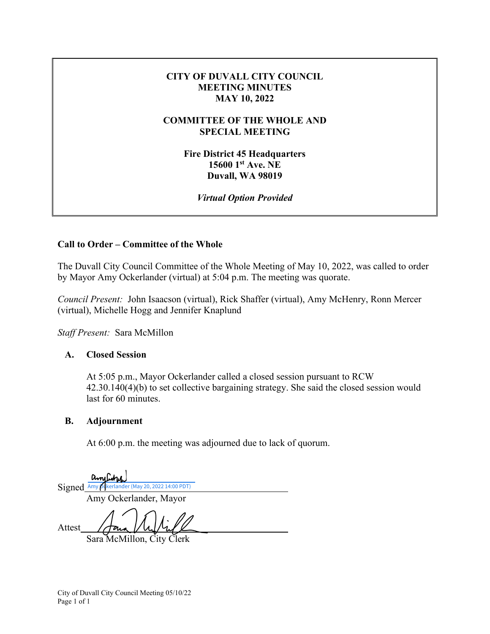#### **CITY OF DUVALL CITY COUNCIL MEETING MINUTES MAY 10, 2022**

#### **COMMITTEE OF THE WHOLE AND SPECIAL MEETING**

**Fire District 45 Headquarters 15600 1st Ave. NE Duvall, WA 98019** 

*Virtual Option Provided* 

## **Call to Order – Committee of the Whole**

The Duvall City Council Committee of the Whole Meeting of May 10, 2022, was called to order by Mayor Amy Ockerlander (virtual) at 5:04 p.m. The meeting was quorate.

*Council Present:* John Isaacson (virtual), Rick Shaffer (virtual), Amy McHenry, Ronn Mercer (virtual), Michelle Hogg and Jennifer Knaplund

*Staff Present:* Sara McMillon

## **A. Closed Session**

At 5:05 p.m., Mayor Ockerlander called a closed session pursuant to RCW 42.30.140(4)(b) to set collective bargaining strategy. She said the closed session would last for 60 minutes.

## **B. Adjournment**

At 6:00 p.m. the meeting was adjourned due to lack of quorum.

amiliary Signed [Amy Ockerlander \(May 20, 2022 14:00 PDT\)](https://na3.documents.adobe.com/verifier?tx=CBJCHBCAABAAP6mH2UvNPwIQJOKAGi2_-btyc-HhgtAa) Amy Ockerlander, Mayor Attest

Sara McMillon, City Clerk